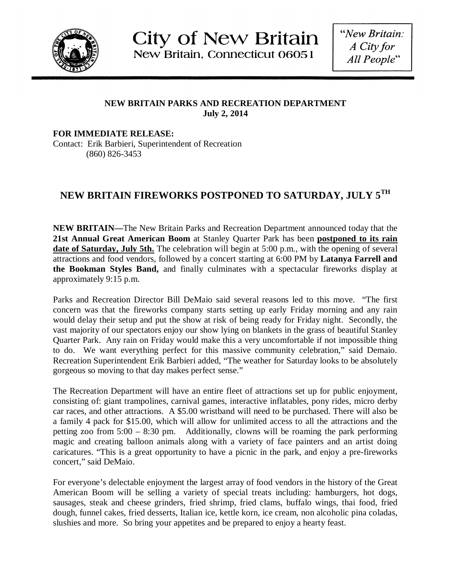

**City of New Britain** New Britain, Connecticut 06051

"New Britain: A City for All People"

## **NEW BRITAIN PARKS AND RECREATION DEPARTMENT July 2, 2014**

**FOR IMMEDIATE RELEASE:** Contact: Erik Barbieri, Superintendent of Recreation (860) 826-3453

## **NEW BRITAIN FIREWORKS POSTPONED TO SATURDAY, JULY 5TH**

**NEW BRITAIN—**The New Britain Parks and Recreation Department announced today that the **21st Annual Great American Boom** at Stanley Quarter Park has been **postponed to its rain date of Saturday, July 5th.** The celebration will begin at 5:00 p.m., with the opening of several attractions and food vendors, followed by a concert starting at 6:00 PM by **Latanya Farrell and the Bookman Styles Band,** and finally culminates with a spectacular fireworks display at approximately 9:15 p.m.

Parks and Recreation Director Bill DeMaio said several reasons led to this move. "The first concern was that the fireworks company starts setting up early Friday morning and any rain would delay their setup and put the show at risk of being ready for Friday night. Secondly, the vast majority of our spectators enjoy our show lying on blankets in the grass of beautiful Stanley Quarter Park. Any rain on Friday would make this a very uncomfortable if not impossible thing to do. We want everything perfect for this massive community celebration," said Demaio. Recreation Superintendent Erik Barbieri added, "The weather for Saturday looks to be absolutely gorgeous so moving to that day makes perfect sense."

The Recreation Department will have an entire fleet of attractions set up for public enjoyment, consisting of: giant trampolines, carnival games, interactive inflatables, pony rides, micro derby car races, and other attractions. A \$5.00 wristband will need to be purchased. There will also be a family 4 pack for \$15.00, which will allow for unlimited access to all the attractions and the petting zoo from 5:00 – 8:30 pm. Additionally, clowns will be roaming the park performing magic and creating balloon animals along with a variety of face painters and an artist doing caricatures. "This is a great opportunity to have a picnic in the park, and enjoy a pre-fireworks concert," said DeMaio.

For everyone's delectable enjoyment the largest array of food vendors in the history of the Great American Boom will be selling a variety of special treats including: hamburgers, hot dogs, sausages, steak and cheese grinders, fried shrimp, fried clams, buffalo wings, thai food, fried dough, funnel cakes, fried desserts, Italian ice, kettle korn, ice cream, non alcoholic pina coladas, slushies and more. So bring your appetites and be prepared to enjoy a hearty feast.